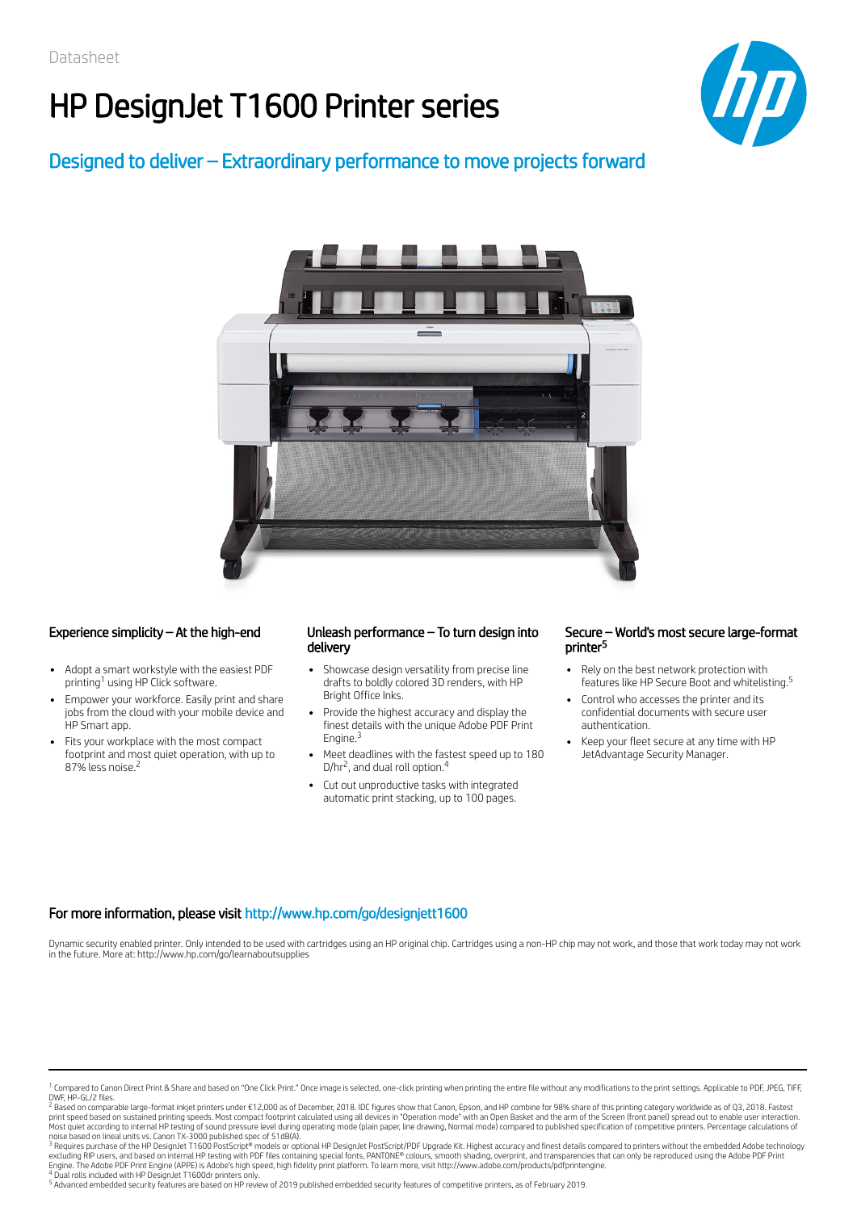# HP DesignJet T1600 Printer series



### Designed to deliver – Extraordinary performance to move projects forward



- Adopt a smart workstyle with the easiest PDF printing<sup>1</sup> using HP Click software.
- Empower your workforce. Easily print and share jobs from the cloud with your mobile device and HP Smart app.
- Fits your workplace with the most compact footprint and most quiet operation, with up to 87% less noise. 2

#### Experience simplicity – At the high-end Unleash performance – To turn design into delivery

- Showcase design versatility from precise line drafts to boldly colored 3D renders, with HP Bright Office Inks.
- Provide the highest accuracy and display the finest details with the unique Adobe PDF Print Engine.<sup>3</sup>
- Meet deadlines with the fastest speed up to 180 D/hr<sup>2</sup>, and dual roll option.<sup>4</sup>
- Cut out unproductive tasks with integrated automatic print stacking, up to 100 pages.

#### Secure – World's most secure large-format printer 5

- Rely on the best network protection with features like HP Secure Boot and whitelisting. 5
- Control who accesses the printer and its confidential documents with secure user authentication.
- Keep your fleet secure at any time with HP JetAdvantage Security Manager.

### For more information, please visit http://www.hp.com/go/designjett1600

Dynamic security enabled printer. Only intended to be used with cartridges using an HP original chip. Cartridges using a non-HP chip may not work, and those that work today may not work in the future. More at: http://www.hp.com/go/learnaboutsupplies

<sup>2</sup> Based on comparable large-format inkjet printers under €12,000 as of December, 2018. IDC figures show that Canon, Epson, and HP combine for 98% share of this printing category worldwide as of Q3, 2018. Fastest print speed based on sustained printing speeds. Most compact footprint calculated using all devices in "Operation mode" with an Open Basket and the arm of the Screen (front panel) spread out to enable user interaction.<br>Mos

noise based on lineal units vs. Canon TX-3000 published spec of 51dB(A).<br><sup>3</sup> Requires purchase of the HP DesignJet T1600 PostScript® models or optional HP DesignJet PostScript/PDF Upgrade Kit. Highest accuracy and finest d excluding RIP users, and based on internal HP testing with PDF files containing special fonts, PANTONE® colours, smooth shading, overprint, and transparencies that can only be reproduced using the Adobe PDF Print<br>Engine. T

<sup>5</sup> Advanced embedded security features are based on HP review of 2019 published embedded security features of competitive printers, as of February 2019.

<sup>&</sup>lt;sup>1</sup> Compared to Canon Direct Print & Share and based on "One Click Print." Once image is selected, one-click printing when printing the entire file without any modifications to the print settings. Applicable to PDF, JPEG, DWF, HP-GL/2 files.